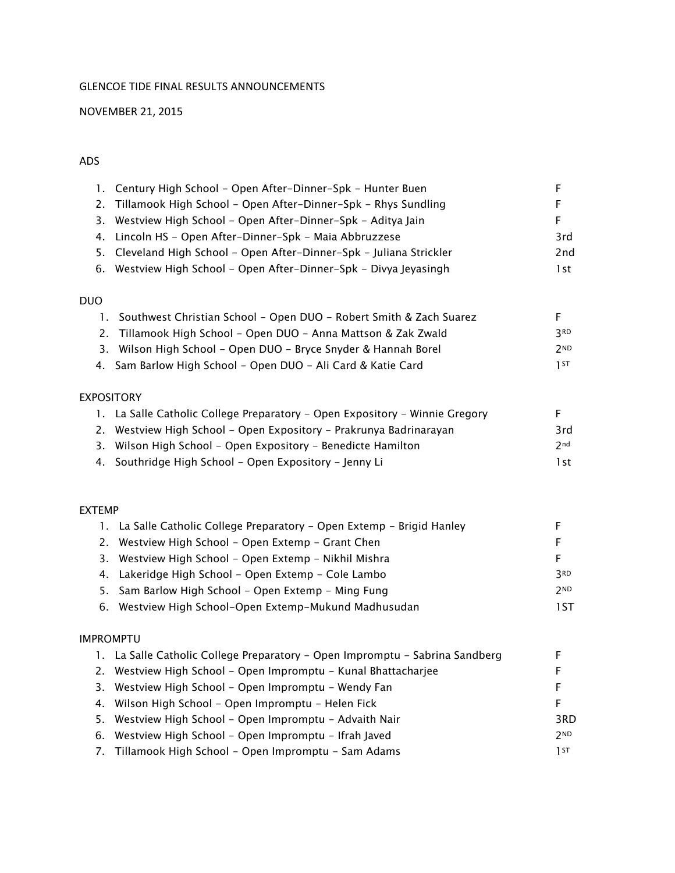# GLENCOE TIDE FINAL RESULTS ANNOUNCEMENTS

# NOVEMBER 21, 2015

# ADS

| 1. Century High School - Open After-Dinner-Spk - Hunter Buen         | F.   |
|----------------------------------------------------------------------|------|
| 2. Tillamook High School – Open After-Dinner-Spk – Rhys Sundling     | F.   |
| 3. Westview High School - Open After-Dinner-Spk - Aditya Jain        | F.   |
| 4. Lincoln HS - Open After-Dinner-Spk - Maia Abbruzzese              | 3rd  |
| 5. Cleveland High School – Open After-Dinner-Spk – Juliana Strickler | 2nd  |
| 6. Westview High School – Open After-Dinner-Spk – Divya Jeyasingh    | 1 st |

#### DUO

| 1. Southwest Christian School - Open DUO - Robert Smith & Zach Suarez |            |
|-----------------------------------------------------------------------|------------|
| 2. Tillamook High School - Open DUO - Anna Mattson & Zak Zwald        | <b>RD</b>  |
| 3. Wilson High School – Open DUO – Bryce Snyder & Hannah Borel        | <b>2ND</b> |
| 4. Sam Barlow High School – Open DUO – Ali Card & Katie Card          | 1 ST       |

#### EXPOSITORY

| 1. La Salle Catholic College Preparatory – Open Expository – Winnie Gregory |                 |
|-----------------------------------------------------------------------------|-----------------|
| 2. Westview High School - Open Expository - Prakrunya Badrinarayan          | 3rd             |
| 3. Wilson High School - Open Expository - Benedicte Hamilton                | 2 <sub>nd</sub> |
| 4. Southridge High School – Open Expository – Jenny Li                      | 1st.            |

#### EXTEMP

| 1. La Salle Catholic College Preparatory – Open Extemp – Brigid Hanley |                 |
|------------------------------------------------------------------------|-----------------|
| 2. Westview High School – Open Extemp – Grant Chen                     | F.              |
| 3. Westview High School – Open Extemp – Nikhil Mishra                  | E               |
| 4. Lakeridge High School – Open Extemp – Cole Lambo                    | <b>3RD</b>      |
| 5. Sam Barlow High School – Open Extemp – Ming Fung                    | 2 <sub>ND</sub> |
| 6. Westview High School-Open Extemp-Mukund Madhusudan                  | 1 S T           |
|                                                                        |                 |

#### IMPROMPTU

| 1. La Salle Catholic College Preparatory – Open Impromptu – Sabrina Sandberg |                 |
|------------------------------------------------------------------------------|-----------------|
| 2. Westview High School - Open Impromptu - Kunal Bhattacharjee               | F.              |
| 3. Westview High School - Open Impromptu - Wendy Fan                         | F.              |
| 4. Wilson High School - Open Impromptu - Helen Fick                          | F.              |
| 5. Westview High School – Open Impromptu – Advaith Nair                      | 3RD             |
| 6. Westview High School - Open Impromptu - Ifrah Javed                       | 2 <sub>ND</sub> |
| 7. Tillamook High School - Open Impromptu - Sam Adams                        | 1 ST            |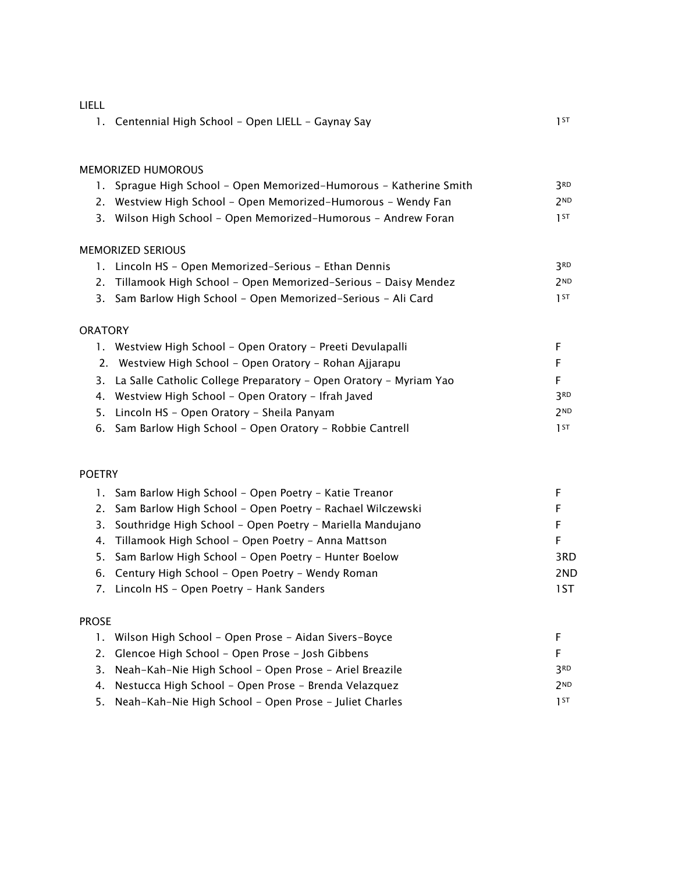#### LIELL

| 1. Centennial High School – Open LIELL – Gaynay Say |  |
|-----------------------------------------------------|--|
|                                                     |  |
|                                                     |  |

#### MEMORIZED HUMOROUS

| 1. Sprague High School – Open Memorized-Humorous – Katherine Smith | <b>3</b> RD |
|--------------------------------------------------------------------|-------------|
| 2. Westview High School – Open Memorized–Humorous – Wendy Fan      | <b>JND</b>  |
| 3. Wilson High School - Open Memorized-Humorous - Andrew Foran     | 1 ST        |

#### MEMORIZED SERIOUS

| 1. Lincoln HS – Open Memorized-Serious – Ethan Dennis            | 3 RD            |
|------------------------------------------------------------------|-----------------|
| 2. Tillamook High School – Open Memorized-Serious – Daisy Mendez | 2 <sub>ND</sub> |
| 3. Sam Barlow High School – Open Memorized-Serious – Ali Card    | 1 ST            |

# ORATORY

|    | Westview High School - Open Oratory - Preeti Devulapalli             |            |
|----|----------------------------------------------------------------------|------------|
| 2. | Westview High School - Open Oratory - Rohan Ajjarapu                 | F          |
|    | 3. La Salle Catholic College Preparatory – Open Oratory – Myriam Yao | F          |
|    | 4. Westview High School - Open Oratory - Ifrah Javed                 | <b>RD</b>  |
|    | 5. Lincoln HS - Open Oratory - Sheila Panyam                         | <b>2ND</b> |
|    | 6. Sam Barlow High School - Open Oratory - Robbie Cantrell           | 1 ST       |

### POETRY

| 1. Sam Barlow High School – Open Poetry – Katie Treanor      |                 |
|--------------------------------------------------------------|-----------------|
| 2. Sam Barlow High School – Open Poetry – Rachael Wilczewski | F.              |
| 3. Southridge High School - Open Poetry - Mariella Mandujano | F.              |
| 4. Tillamook High School - Open Poetry - Anna Mattson        | F.              |
| 5. Sam Barlow High School - Open Poetry - Hunter Boelow      | 3RD             |
| 6. Century High School – Open Poetry – Wendy Roman           | 2 <sub>ND</sub> |
| 7. Lincoln HS – Open Poetry – Hank Sanders                   | 1ST             |
|                                                              |                 |

### PROSE

| 1. Wilson High School – Open Prose – Aidan Sivers-Boyce   |            |
|-----------------------------------------------------------|------------|
| 2. Glencoe High School – Open Prose – Josh Gibbens        | E          |
| 3. Neah-Kah-Nie High School – Open Prose – Ariel Breazile | <b>3RD</b> |
| 4. Nestucca High School – Open Prose – Brenda Velazquez   | <b>2ND</b> |
| 5. Neah-Kah-Nie High School – Open Prose – Juliet Charles | 1 ST       |